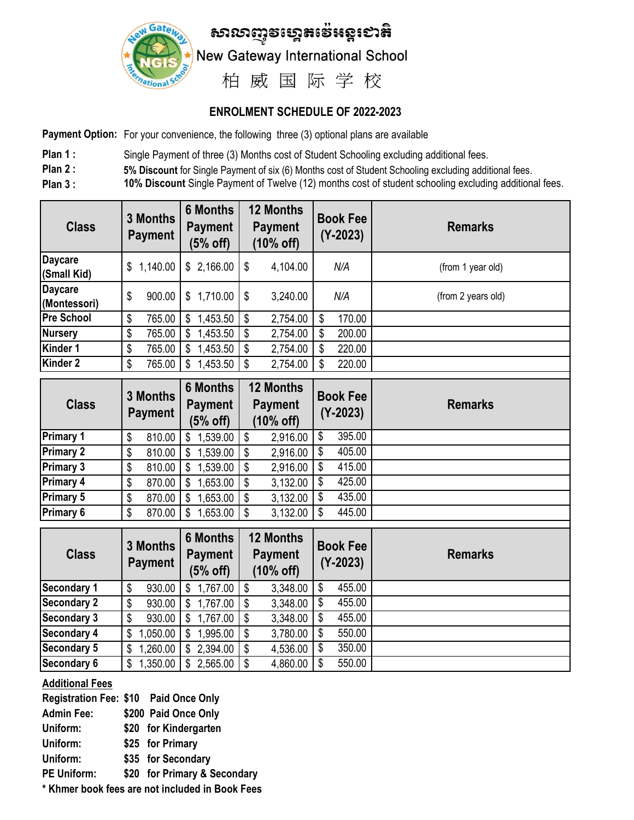

## **ENROLMENT SCHEDULE OF 2022-2023**

**Payment Option:** For your convenience, the following three (3) optional plans are available

- Plan 1 : Single Payment of three (3) Months cost of Student Schooling excluding additional fees.
- **Plan 2 : 5% Discount** for Single Payment of six (6) Months cost of Student Schooling excluding additional fees.
- **Plan 3 : 10% Discount** Single Payment of Twelve (12) months cost of student schooling excluding additional fees. 3 6 12 5 10

| <b>Class</b>                   | 3 Months<br><b>Payment</b> | <b>6 Months</b><br><b>Payment</b><br>$(5%$ off) | <b>12 Months</b><br><b>Payment</b><br>(10% off) | <b>Book Fee</b><br>$(Y - 2023)$ | <b>Remarks</b>     |
|--------------------------------|----------------------------|-------------------------------------------------|-------------------------------------------------|---------------------------------|--------------------|
| <b>Daycare</b><br>(Small Kid)  | 1,140.00<br>\$             | \$2,166.00                                      | 4,104.00<br>\$                                  | N/A                             | (from 1 year old)  |
| <b>Daycare</b><br>(Montessori) | 900.00<br>\$               | \$1,710.00                                      | 3,240.00<br>\$                                  | N/A                             | (from 2 years old) |
| <b>Pre School</b>              | 765.00<br>\$               | 1,453.50<br>\$                                  | 2,754.00<br>\$                                  | 170.00<br>\$                    |                    |
| <b>Nursery</b>                 | 765.00<br>\$               | 1,453.50<br>\$                                  | 2,754.00<br>\$                                  | 200.00                          |                    |
| Kinder 1                       | 765.00<br>\$               | 1,453.50<br>\$                                  | 2,754.00<br>\$                                  | 220.00                          |                    |
| Kinder 2                       | 765.00<br>\$               | 1,453.50<br>S.                                  | 2,754.00<br>\$                                  | 220.00                          |                    |

| <b>Class</b>     | 3 Months<br><b>Payment</b> |        | <b>6 Months</b><br><b>Payment</b><br>$(5%$ off) |                 | <b>12 Months</b><br><b>Payment</b><br>$(10%$ off) |          | <b>Book Fee</b><br>$(Y - 2023)$ |        | <b>Remarks</b> |
|------------------|----------------------------|--------|-------------------------------------------------|-----------------|---------------------------------------------------|----------|---------------------------------|--------|----------------|
| <b>Primary 1</b> | \$                         | 810.00 | \$                                              | 1,539.00        | S                                                 | 2,916.00 | \$                              | 395.00 |                |
| <b>Primary 2</b> | \$                         | 810.00 | S.                                              | $1,539.00$   \$ |                                                   | 2,916.00 | \$                              | 405.00 |                |
| <b>Primary 3</b> | \$                         | 810.00 | S                                               | $,539.00$   \$  |                                                   | 2,916.00 | \$                              | 415.00 |                |
| <b>Primary 4</b> | \$                         | 870.00 | S                                               | ,653.00         | S                                                 | 3,132.00 | \$                              | 425.00 |                |
| <b>Primary 5</b> | \$                         | 870.00 |                                                 | $,653.00$ \ \$  |                                                   | 3,132.00 | \$                              | 435.00 |                |
| <b>Primary 6</b> | \$                         | 870.00 | S                                               | $,653.00$ \ \$  |                                                   | 3,132.00 | \$                              | 445.00 |                |
|                  |                            |        |                                                 |                 |                                                   |          |                                 |        |                |

| <b>Class</b>       | 3 Months<br><b>Payment</b> | <b>6 Months</b><br><b>Payment</b><br>$(5%$ off) | <b>12 Months</b><br><b>Payment</b><br>(10% off) | <b>Book Fee</b><br>$(Y - 2023)$ | <b>Remarks</b> |
|--------------------|----------------------------|-------------------------------------------------|-------------------------------------------------|---------------------------------|----------------|
| <b>Secondary 1</b> | \$<br>930.00               | 1,767.00                                        | 3,348.00<br>-\$                                 | 455.00<br>\$                    |                |
| <b>Secondary 2</b> | 930.00<br>\$               | $1,767.00$   \$                                 | 3,348.00                                        | 455.00<br>S                     |                |
| <b>Secondary 3</b> | 930.00<br>\$               | $1,767.00$ \ \$                                 | 3,348.00                                        | 455.00<br>\$                    |                |
| <b>Secondary 4</b> | 1,050.00<br>\$             | $.995.00$   \$                                  | 3,780.00                                        | 550.00<br>\$                    |                |
| <b>Secondary 5</b> | ,260.00<br>\$              | \$2,394.00                                      | 4,536.00                                        | 350.00<br>S                     |                |
| <b>Secondary 6</b> | ,350.00<br>\$              | $2,565.00$ \$                                   | 4,860.00                                        | 550.00                          |                |

#### **Additional Fees**

**Registration Fee: \$10 Paid Once Only Admin Fee: \$200 Paid Once Only Uniform: \$20 for Kindergarten Uniform: \$25 for Primary Uniform: \$35 for Secondary PE Uniform: \$20 for Primary & Secondary**

**\* Khmer book fees are not included in Book Fees**